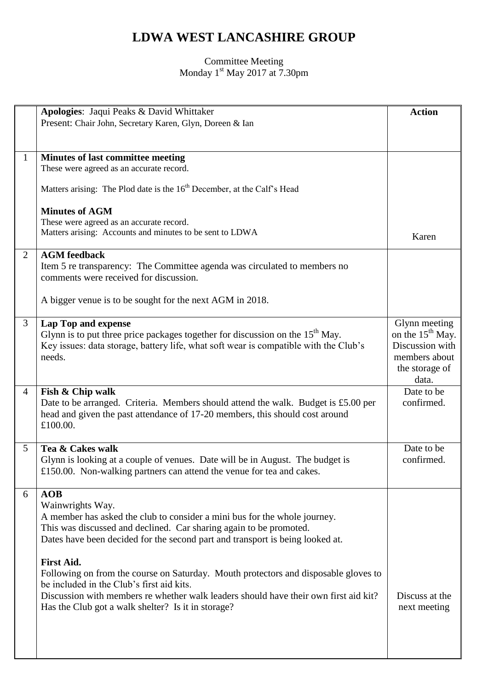## **LDWA WEST LANCASHIRE GROUP**

## Committee Meeting Monday 1<sup>st</sup> May 2017 at 7.30pm

|                | Apologies: Jaqui Peaks & David Whittaker                                                             | <b>Action</b>                |
|----------------|------------------------------------------------------------------------------------------------------|------------------------------|
|                | Present: Chair John, Secretary Karen, Glyn, Doreen & Ian                                             |                              |
|                |                                                                                                      |                              |
|                |                                                                                                      |                              |
| $\mathbf{1}$   | Minutes of last committee meeting<br>These were agreed as an accurate record.                        |                              |
|                |                                                                                                      |                              |
|                | Matters arising: The Plod date is the 16 <sup>th</sup> December, at the Calf's Head                  |                              |
|                |                                                                                                      |                              |
|                | <b>Minutes of AGM</b>                                                                                |                              |
|                | These were agreed as an accurate record.<br>Matters arising: Accounts and minutes to be sent to LDWA |                              |
|                |                                                                                                      | Karen                        |
| 2              | <b>AGM</b> feedback                                                                                  |                              |
|                | Item 5 re transparency: The Committee agenda was circulated to members no                            |                              |
|                | comments were received for discussion.                                                               |                              |
|                |                                                                                                      |                              |
|                | A bigger venue is to be sought for the next AGM in 2018.                                             |                              |
| 3              | <b>Lap Top and expense</b>                                                                           | Glynn meeting                |
|                | Glynn is to put three price packages together for discussion on the $15th$ May.                      | on the 15 <sup>th</sup> May. |
|                | Key issues: data storage, battery life, what soft wear is compatible with the Club's                 | Discussion with              |
|                | needs.                                                                                               | members about                |
|                |                                                                                                      | the storage of               |
|                |                                                                                                      | data.                        |
| $\overline{4}$ | Fish & Chip walk                                                                                     | Date to be                   |
|                | Date to be arranged. Criteria. Members should attend the walk. Budget is £5.00 per                   | confirmed.                   |
|                | head and given the past attendance of 17-20 members, this should cost around<br>£100.00.             |                              |
|                |                                                                                                      |                              |
| 5              | Tea & Cakes walk                                                                                     | Date to be                   |
|                | Glynn is looking at a couple of venues. Date will be in August. The budget is                        | confirmed.                   |
|                | £150.00. Non-walking partners can attend the venue for tea and cakes.                                |                              |
|                |                                                                                                      |                              |
| 6              | AOB                                                                                                  |                              |
|                | Wainwrights Way.<br>A member has asked the club to consider a mini bus for the whole journey.        |                              |
|                | This was discussed and declined. Car sharing again to be promoted.                                   |                              |
|                | Dates have been decided for the second part and transport is being looked at.                        |                              |
|                |                                                                                                      |                              |
|                | <b>First Aid.</b>                                                                                    |                              |
|                | Following on from the course on Saturday. Mouth protectors and disposable gloves to                  |                              |
|                | be included in the Club's first aid kits.                                                            |                              |
|                | Discussion with members re whether walk leaders should have their own first aid kit?                 | Discuss at the               |
|                | Has the Club got a walk shelter? Is it in storage?                                                   | next meeting                 |
|                |                                                                                                      |                              |
|                |                                                                                                      |                              |
|                |                                                                                                      |                              |